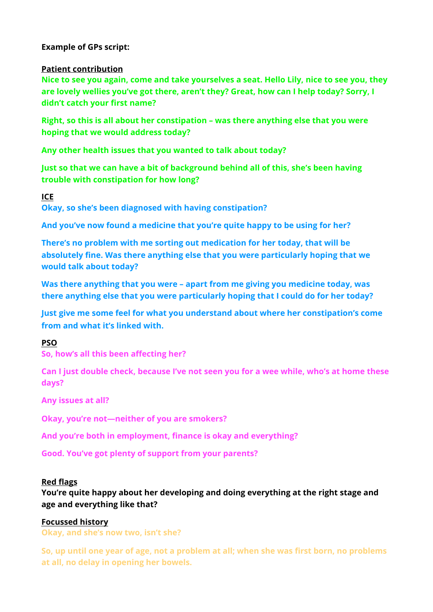## **Example of GPs script:**

## **Patient contribution**

**Nice to see you again, come and take yourselves a seat. Hello Lily, nice to see you, they are lovely wellies you've got there, aren't they? Great, how can I help today? Sorry, I didn't catch your first name?** 

**Right, so this is all about her constipation – was there anything else that you were hoping that we would address today?** 

**Any other health issues that you wanted to talk about today?** 

**Just so that we can have a bit of background behind all of this, she's been having trouble with constipation for how long?** 

## **ICE**

**Okay, so she's been diagnosed with having constipation?** 

**And you've now found a medicine that you're quite happy to be using for her?** 

**There's no problem with me sorting out medication for her today, that will be absolutely fine. Was there anything else that you were particularly hoping that we would talk about today?** 

**Was there anything that you were – apart from me giving you medicine today, was there anything else that you were particularly hoping that I could do for her today?** 

**Just give me some feel for what you understand about where her constipation's come from and what it's linked with.** 

## **PSO**

**So, how's all this been affecting her?**

**Can I just double check, because I've not seen you for a wee while, who's at home these days?** 

**Any issues at all?** 

**Okay, you're not—neither of you are smokers?** 

**And you're both in employment, finance is okay and everything?** 

**Good. You've got plenty of support from your parents?**

## **Red flags**

**You're quite happy about her developing and doing everything at the right stage and age and everything like that?** 

## **Focussed history**

**Okay, and she's now two, isn't she?** 

**So, up until one year of age, not a problem at all; when she was first born, no problems at all, no delay in opening her bowels.**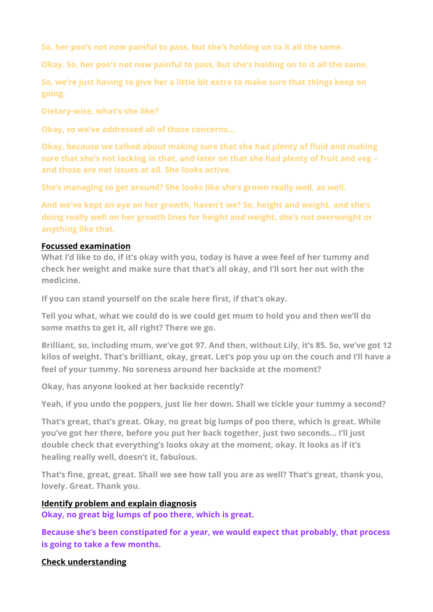**So, her poo's not now painful to pass, but she's holding on to it all the same.** 

**Okay. So, her poo's not now painful to pass, but she's holding on to it all the same.** 

**So, we're just having to give her a little bit extra to make sure that things keep on going.** 

**Dietary-wise, what's she like?** 

**Okay, so we've addressed all of those concerns…** 

**Okay, because we talked about making sure that she had plenty of fluid and making sure that she's not lacking in that, and later on that she had plenty of fruit and veg – and those are not issues at all. She looks active.** 

**She's managing to get around? She looks like she's grown really well, as well.** 

**And we've kept an eye on her growth, haven't we? So, height and weight, and she's doing really well on her growth lines for height and weight, she's not overweight or anything like that.**

## **Focussed examination**

**What I'd like to do, if it's okay with you, today is have a wee feel of her tummy and check her weight and make sure that that's all okay, and I'll sort her out with the medicine.** 

**If you can stand yourself on the scale here first, if that's okay.** 

**Tell you what, what we could do is we could get mum to hold you and then we'll do some maths to get it, all right? There we go.** 

**Brilliant, so, including mum, we've got 97. And then, without Lily, it's 85. So, we've got 12 kilos of weight. That's brilliant, okay, great. Let's pop you up on the couch and I'll have a feel of your tummy. No soreness around her backside at the moment?** 

**Okay, has anyone looked at her backside recently?** 

**Yeah, if you undo the poppers, just lie her down. Shall we tickle your tummy a second?** 

**That's great, that's great. Okay, no great big lumps of poo there, which is great. While you've got her there, before you put her back together, just two seconds… I'll just double check that everything's looks okay at the moment, okay. It looks as if it's healing really well, doesn't it, fabulous.** 

**That's fine, great, great. Shall we see how tall you are as well? That's great, thank you, lovely. Great. Thank you.** 

# **Identify problem and explain diagnosis**

**Okay, no great big lumps of poo there, which is great.** 

**Because she's been constipated for a year, we would expect that probably, that process is going to take a few months.** 

# **Check understanding**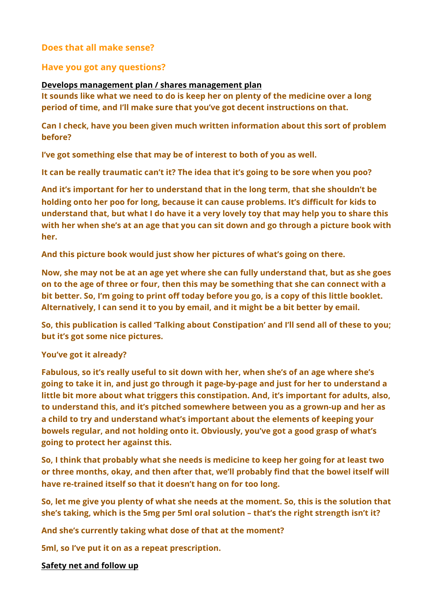# **Does that all make sense?**

## **Have you got any questions?**

#### **Develops management plan / shares management plan**

**It sounds like what we need to do is keep her on plenty of the medicine over a long period of time, and I'll make sure that you've got decent instructions on that.** 

**Can I check, have you been given much written information about this sort of problem before?** 

**I've got something else that may be of interest to both of you as well.** 

**It can be really traumatic can't it? The idea that it's going to be sore when you poo?** 

**And it's important for her to understand that in the long term, that she shouldn't be holding onto her poo for long, because it can cause problems. It's difficult for kids to understand that, but what I do have it a very lovely toy that may help you to share this with her when she's at an age that you can sit down and go through a picture book with her.** 

**And this picture book would just show her pictures of what's going on there.** 

**Now, she may not be at an age yet where she can fully understand that, but as she goes on to the age of three or four, then this may be something that she can connect with a bit better. So, I'm going to print off today before you go, is a copy of this little booklet. Alternatively, I can send it to you by email, and it might be a bit better by email.** 

**So, this publication is called 'Talking about Constipation' and I'll send all of these to you; but it's got some nice pictures.** 

#### **You've got it already?**

**Fabulous, so it's really useful to sit down with her, when she's of an age where she's going to take it in, and just go through it page-by-page and just for her to understand a little bit more about what triggers this constipation. And, it's important for adults, also, to understand this, and it's pitched somewhere between you as a grown-up and her as a child to try and understand what's important about the elements of keeping your bowels regular, and not holding onto it. Obviously, you've got a good grasp of what's going to protect her against this.** 

**So, I think that probably what she needs is medicine to keep her going for at least two or three months, okay, and then after that, we'll probably find that the bowel itself will have re-trained itself so that it doesn't hang on for too long.** 

**So, let me give you plenty of what she needs at the moment. So, this is the solution that she's taking, which is the 5mg per 5ml oral solution – that's the right strength isn't it?** 

**And she's currently taking what dose of that at the moment?** 

**5ml, so I've put it on as a repeat prescription.** 

**Safety net and follow up**